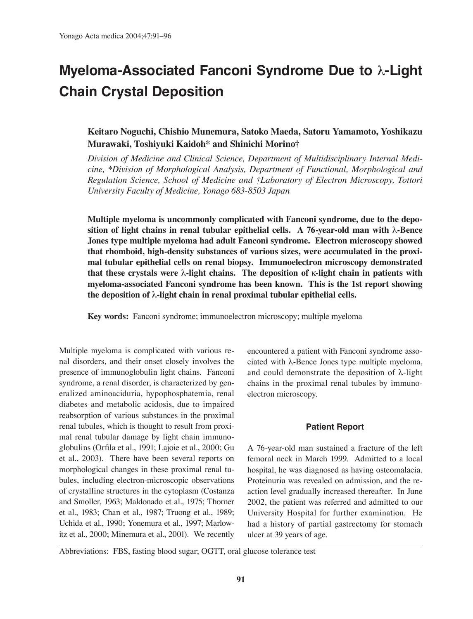# **Myeloma-Associated Fanconi Syndrome Due to** λ**-Light Chain Crystal Deposition**

# **Keitaro Noguchi, Chishio Munemura, Satoko Maeda, Satoru Yamamoto, Yoshikazu Murawaki, Toshiyuki Kaidoh\* and Shinichi Morino†**

*Division of Medicine and Clinical Science, Department of Multidisciplinary Internal Medicine, \*Division of Morphological Analysis, Department of Functional, Morphological and Regulation Science, School of Medicine and †Laboratory of Electron Microscopy, Tottori University Faculty of Medicine, Yonago 683-8503 Japan*

**Multiple myeloma is uncommonly complicated with Fanconi syndrome, due to the deposition of light chains in renal tubular epithelial cells. A 76-year-old man with** λ**-Bence Jones type multiple myeloma had adult Fanconi syndrome. Electron microscopy showed that rhomboid, high-density substances of various sizes, were accumulated in the proximal tubular epithelial cells on renal biopsy. Immunoelectron microscopy demonstrated that these crystals were** λ**-light chains. The deposition of** κ**-light chain in patients with myeloma-associated Fanconi syndrome has been known. This is the 1st report showing the deposition of** λ**-light chain in renal proximal tubular epithelial cells.**

**Key words:** Fanconi syndrome; immunoelectron microscopy; multiple myeloma

Multiple myeloma is complicated with various renal disorders, and their onset closely involves the presence of immunoglobulin light chains. Fanconi syndrome, a renal disorder, is characterized by generalized aminoaciduria, hypophosphatemia, renal diabetes and metabolic acidosis, due to impaired reabsorption of various substances in the proximal renal tubules, which is thought to result from proximal renal tubular damage by light chain immunoglobulins (Orfila et al., 1991; Lajoie et al., 2000; Gu et al., 2003). There have been several reports on morphological changes in these proximal renal tubules, including electron-microscopic observations of crystalline structures in the cytoplasm (Costanza and Smoller, 1963; Maldonado et al., 1975; Thorner et al., 1983; Chan et al., 1987; Truong et al., 1989; Uchida et al., 1990; Yonemura et al., 1997; Marlowitz et al., 2000; Minemura et al., 2001). We recently encountered a patient with Fanconi syndrome associated with λ-Bence Jones type multiple myeloma, and could demonstrate the deposition of λ-light chains in the proximal renal tubules by immunoelectron microscopy.

#### **Patient Report**

A 76-year-old man sustained a fracture of the left femoral neck in March 1999. Admitted to a local hospital, he was diagnosed as having osteomalacia. Proteinuria was revealed on admission, and the reaction level gradually increased thereafter. In June 2002, the patient was referred and admitted to our University Hospital for further examination. He had a history of partial gastrectomy for stomach ulcer at 39 years of age.

Abbreviations: FBS, fasting blood sugar; OGTT, oral glucose tolerance test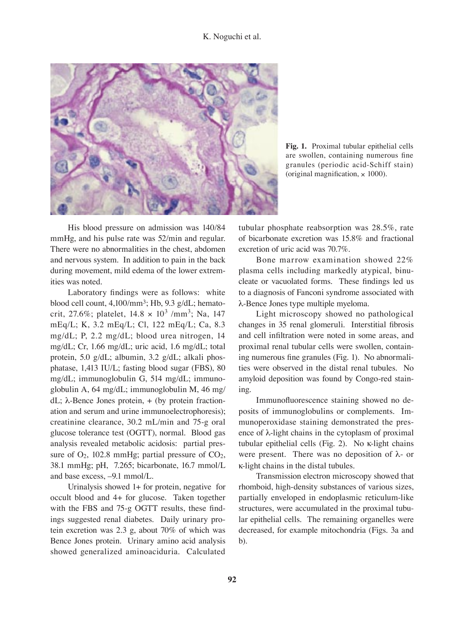### K. Noguchi et al.



**Fig. 1.** Proximal tubular epithelial cells are swollen, containing numerous fine granules (periodic acid-Schiff stain) (original magnification,  $\times$  1000).

 His blood pressure on admission was 140/84 mmHg, and his pulse rate was 52/min and regular. There were no abnormalities in the chest, abdomen and nervous system. In addition to pain in the back during movement, mild edema of the lower extremities was noted.

 Laboratory findings were as follows: white blood cell count, 4,100/mm<sup>3</sup>; Hb, 9.3 g/dL; hematocrit, 27.6%; platelet,  $14.8 \times 10^3$  /mm<sup>3</sup>; Na, 147 mEq/L; K, 3.2 mEq/L; Cl, 122 mEq/L; Ca, 8.3 mg/dL; P, 2.2 mg/dL; blood urea nitrogen, 14 mg/dL; Cr, 1.66 mg/dL; uric acid, 1.6 mg/dL; total protein, 5.0 g/dL; albumin, 3.2 g/dL; alkali phosphatase, 1,413 IU/L; fasting blood sugar (FBS), 80 mg/dL; immunoglobulin G, 514 mg/dL; immunoglobulin A, 64 mg/dL; immunoglobulin M, 46 mg/ dL;  $λ$ -Bence Jones protein, + (by protein fractionation and serum and urine immunoelectrophoresis); creatinine clearance, 30.2 mL/min and 75-g oral glucose tolerance test (OGTT), normal. Blood gas analysis revealed metabolic acidosis: partial pressure of  $O_2$ , 102.8 mmHg; partial pressure of  $CO_2$ , 38.1 mmHg; pH, 7.265; bicarbonate, 16.7 mmol/L and base excess, –9.1 mmol/L.

 Urinalysis showed 1+ for protein, negative for occult blood and 4+ for glucose. Taken together with the FBS and 75-g OGTT results, these findings suggested renal diabetes. Daily urinary protein excretion was 2.3 g, about 70% of which was Bence Jones protein. Urinary amino acid analysis showed generalized aminoaciduria. Calculated

tubular phosphate reabsorption was 28.5%, rate of bicarbonate excretion was 15.8% and fractional excretion of uric acid was 70.7%.

 Bone marrow examination showed 22% plasma cells including markedly atypical, binucleate or vacuolated forms. These findings led us to a diagnosis of Fanconi syndrome associated with λ-Bence Jones type multiple myeloma.

 Light microscopy showed no pathological changes in 35 renal glomeruli. Interstitial fibrosis and cell infiltration were noted in some areas, and proximal renal tubular cells were swollen, containing numerous fine granules (Fig. 1). No abnormalities were observed in the distal renal tubules. No amyloid deposition was found by Congo-red staining.

 Immunofluorescence staining showed no deposits of immunoglobulins or complements. Immunoperoxidase staining demonstrated the presence of λ-light chains in the cytoplasm of proximal tubular epithelial cells (Fig. 2). No κ-light chains were present. There was no deposition of  $\lambda$ - or κ-light chains in the distal tubules.

 Transmission electron microscopy showed that rhomboid, high-density substances of various sizes, partially enveloped in endoplasmic reticulum-like structures, were accumulated in the proximal tubular epithelial cells. The remaining organelles were decreased, for example mitochondria (Figs. 3a and b).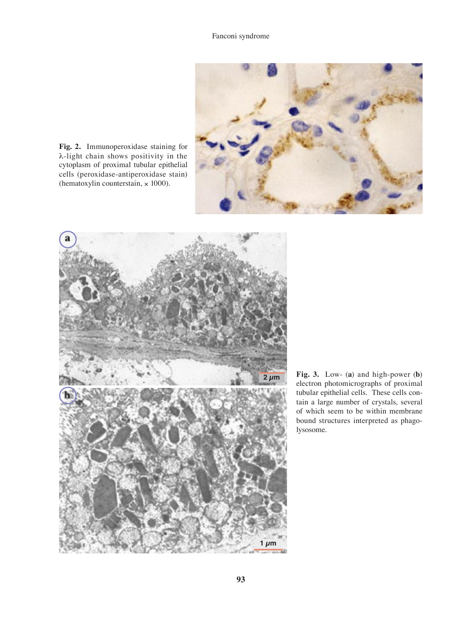

**Fig. 2.** Immunoperoxidase staining for λ-light chain shows positivity in the cytoplasm of proximal tubular epithelial cells (peroxidase-antiperoxidase stain) (hematoxylin counterstain,  $\times$  1000).



**Fig. 3.** Low- (**a**) and high-power (**b**) electron photomicrographs of proximal tubular epithelial cells. These cells contain a large number of crystals, several of which seem to be within membrane bound structures interpreted as phagolysosome.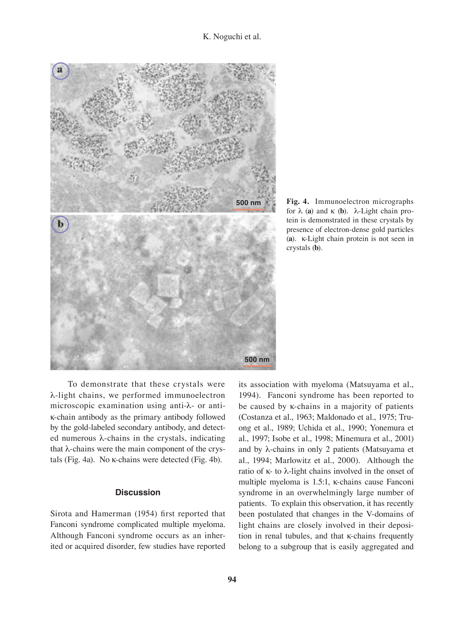

**Fig. 4.** Immunoelectron micrographs for λ (**a**) and κ (**b**). λ-Light chain protein is demonstrated in these crystals by presence of electron-dense gold particles (**a**). κ-Light chain protein is not seen in crystals (**b**).

 To demonstrate that these crystals were λ-light chains, we performed immunoelectron microscopic examination using anti-λ- or antiκ-chain antibody as the primary antibody followed by the gold-labeled secondary antibody, and detected numerous λ-chains in the crystals, indicating that λ-chains were the main component of the crystals (Fig. 4a). No κ-chains were detected (Fig. 4b).

## **Discussion**

Sirota and Hamerman (1954) first reported that Fanconi syndrome complicated multiple myeloma. Although Fanconi syndrome occurs as an inherited or acquired disorder, few studies have reported

its association with myeloma (Matsuyama et al., 1994). Fanconi syndrome has been reported to be caused by κ-chains in a majority of patients (Costanza et al., 1963; Maldonado et al., 1975; Truong et al., 1989; Uchida et al., 1990; Yonemura et al., 1997; Isobe et al., 1998; Minemura et al., 2001) and by λ-chains in only 2 patients (Matsuyama et al., 1994; Marlowitz et al., 2000). Although the ratio of κ- to λ-light chains involved in the onset of multiple myeloma is 1.5:1, κ-chains cause Fanconi syndrome in an overwhelmingly large number of patients. To explain this observation, it has recently been postulated that changes in the V-domains of light chains are closely involved in their deposition in renal tubules, and that κ-chains frequently belong to a subgroup that is easily aggregated and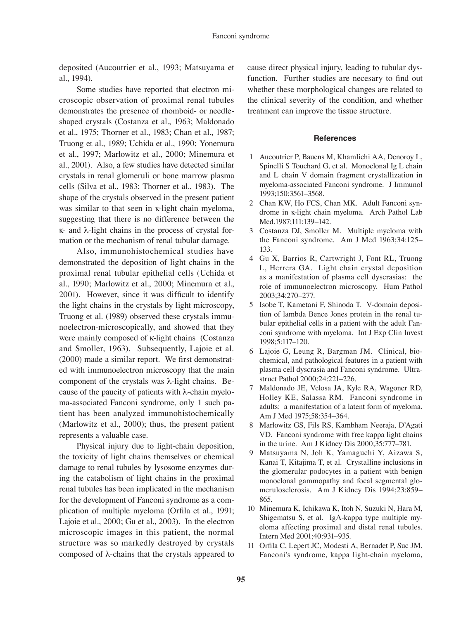deposited (Aucoutrier et al., 1993; Matsuyama et al., 1994).

 Some studies have reported that electron microscopic observation of proximal renal tubules demonstrates the presence of rhomboid- or needleshaped crystals (Costanza et al., 1963; Maldonado et al., 1975; Thorner et al., 1983; Chan et al., 1987; Truong et al., 1989; Uchida et al., 1990; Yonemura et al., 1997; Marlowitz et al., 2000; Minemura et al., 2001). Also, a few studies have detected similar crystals in renal glomeruli or bone marrow plasma cells (Silva et al., 1983; Thorner et al., 1983). The shape of the crystals observed in the present patient was similar to that seen in κ-light chain myeloma, suggesting that there is no difference between the κ- and λ-light chains in the process of crystal formation or the mechanism of renal tubular damage.

 Also, immunohistochemical studies have demonstrated the deposition of light chains in the proximal renal tubular epithelial cells (Uchida et al., 1990; Marlowitz et al., 2000; Minemura et al., 2001). However, since it was difficult to identify the light chains in the crystals by light microscopy, Truong et al. (1989) observed these crystals immunoelectron-microscopically, and showed that they were mainly composed of κ-light chains (Costanza and Smoller, 1963). Subsequently, Lajoie et al. (2000) made a similar report. We first demonstrated with immunoelectron microscopy that the main component of the crystals was λ-light chains. Because of the paucity of patients with  $\lambda$ -chain myeloma-associated Fanconi syndrome, only 1 such patient has been analyzed immunohistochemically (Marlowitz et al., 2000); thus, the present patient represents a valuable case.

 Physical injury due to light-chain deposition, the toxicity of light chains themselves or chemical damage to renal tubules by lysosome enzymes during the catabolism of light chains in the proximal renal tubules has been implicated in the mechanism for the development of Fanconi syndrome as a complication of multiple myeloma (Orfila et al., 1991; Lajoie et al., 2000; Gu et al., 2003). In the electron microscopic images in this patient, the normal structure was so markedly destroyed by crystals composed of λ-chains that the crystals appeared to

cause direct physical injury, leading to tubular dysfunction. Further studies are necesary to find out whether these morphological changes are related to the clinical severity of the condition, and whether treatment can improve the tissue structure.

#### **References**

- 1 Aucoutrier P, Bauens M, Khamlichi AA, Denoroy L, Spinelli S Touchard G, et al. Monoclonal Ig L chain and L chain V domain fragment crystallization in myeloma-associated Fanconi syndrome. J Immunol 1993;150:3561–3568.
- 2 Chan KW, Ho FCS, Chan MK. Adult Fanconi syndrome in κ-light chain myeloma. Arch Pathol Lab Med.1987;111:139–142.
- 3 Costanza DJ, Smoller M. Multiple myeloma with the Fanconi syndrome. Am J Med 1963;34:125– 133.
- 4 Gu X, Barrios R, Cartwright J, Font RL, Truong L, Herrera GA. Light chain crystal deposition as a manifestation of plasma cell dyscrasias: the role of immunoelectron microscopy. Hum Pathol 2003;34:270–277.
- 5 Isobe T, Kametani F, Shinoda T. V-domain deposition of lambda Bence Jones protein in the renal tubular epithelial cells in a patient with the adult Fanconi syndrome with myeloma. Int J Exp Clin Invest 1998;5:117–120.
- 6 Lajoie G, Leung R, Bargman JM. Clinical, biochemical, and pathological features in a patient with plasma cell dyscrasia and Fanconi syndrome. Ultrastruct Pathol 2000;24:221–226.
- 7 Maldonado JE, Velosa JA, Kyle RA, Wagoner RD, Holley KE, Salassa RM. Fanconi syndrome in adults: a manifestation of a latent form of myeloma. Am J Med 1975;58:354–364.
- 8 Marlowitz GS, Fils RS, Kambham Neeraja, D'Agati VD. Fanconi syndrome with free kappa light chains in the urine. Am J Kidney Dis 2000;35:777–781.
- 9 Matsuyama N, Joh K, Yamaguchi Y, Aizawa S, Kanai T, Kitajima T, et al. Crystalline inclusions in the glomerular podocytes in a patient with benign monoclonal gammopathy and focal segmental glomerulosclerosis. Am J Kidney Dis 1994;23:859– 865.
- 10 Minemura K, Ichikawa K, Itoh N, Suzuki N, Hara M, Shigematsu S, et al. IgA-kappa type multiple myeloma affecting proximal and distal renal tubules. Intern Med 2001;40:931–935.
- 11 Orfila C, Lepert JC, Modesti A, Bernadet P, Suc JM. Fanconi's syndrome, kappa light-chain myeloma,